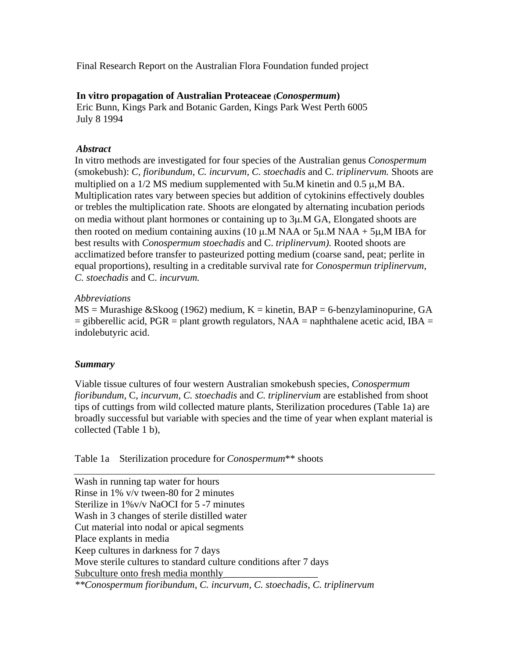Final Research Report on the Australian Flora Foundation funded project

## **In vitro propagation of Australian Proteaceae (***Conospermum***)**

Eric Bunn, Kings Park and Botanic Garden, Kings Park West Perth 6005 July 8 1994

# *Abstract*

In vitro methods are investigated for four species of the Australian genus *Conospermum* (smokebush): *C, fioribundum, C. incurvum, C. stoechadis* and C. *triplinervum.* Shoots are multiplied on a 1/2 MS medium supplemented with 5u.M kinetin and 0.5 µ, M BA. Multiplication rates vary between species but addition of cytokinins effectively doubles or trebles the multiplication rate. Shoots are elongated by alternating incubation periods on media without plant hormones or containing up to 3µ.M GA, Elongated shoots are then rooted on medium containing auxins (10  $\mu$ .M NAA or 5 $\mu$ .M NAA + 5 $\mu$ .M IBA for best results with *Conospermum stoechadis* and C. *triplinervum).* Rooted shoots are acclimatized before transfer to pasteurized potting medium (coarse sand, peat; perlite in equal proportions), resulting in a creditable survival rate for *Conospermun triplinervum, C. stoechadis* and C. *incurvum.*

### *Abbreviations*

 $MS =$ Murashige &Skoog (1962) medium,  $K =$  kinetin,  $BAP = 6$ -benzylaminopurine, GA  $=$  gibberellic acid, PGR  $=$  plant growth regulators, NAA  $=$  naphthalene acetic acid, IBA  $=$ indolebutyric acid.

# *Summary*

Viable tissue cultures of four western Australian smokebush species, *Conospermum fioribundum,* C, *incurvum, C. stoechadis* and *C. triplinervium* are established from shoot tips of cuttings from wild collected mature plants, Sterilization procedures (Table 1a) are broadly successful but variable with species and the time of year when explant material is collected (Table 1 b),

# Table 1a Sterilization procedure for *Conospermum*\*\* shoots

Wash in running tap water for hours Rinse in 1% v/v tween-80 for 2 minutes Sterilize in 1%v/v NaOCI for 5 -7 minutes Wash in 3 changes of sterile distilled water Cut material into nodal or apical segments Place explants in media Keep cultures in darkness for 7 days Move sterile cultures to standard culture conditions after 7 days Subculture onto fresh media monthly *\*\*Conospermum fioribundum, C. incurvum, C. stoechadis, C. triplinervum*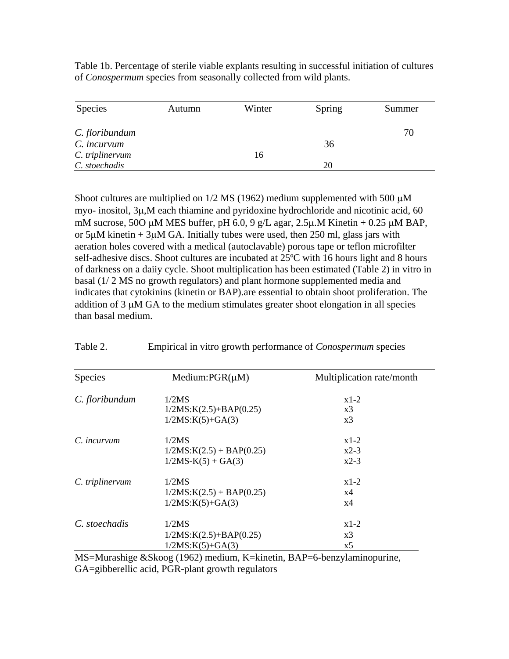Table 1b. Percentage of sterile viable explants resulting in successful initiation of cultures of *Conospermum* species from seasonally collected from wild plants.

| Species         | Autumn | Winter | Spring | Summer |
|-----------------|--------|--------|--------|--------|
|                 |        |        |        |        |
| C. floribundum  |        |        |        | 70     |
| C. incurvum     |        |        | 36     |        |
| C. triplinervum |        | 16     |        |        |
| C. stoechadis   |        |        | 20     |        |

Shoot cultures are multiplied on  $1/2$  MS (1962) medium supplemented with 500  $\mu$ M myo- inositol, 3µ,M each thiamine and pyridoxine hydrochloride and nicotinic acid, 60 mM sucrose, 50O  $\mu$ M MES buffer, pH 6.0, 9 g/L agar, 2.5 $\mu$ .M Kinetin + 0.25  $\mu$ M BAP, or  $5\mu$ M kinetin +  $3\mu$ M GA. Initially tubes were used, then 250 ml, glass jars with aeration holes covered with a medical (autoclavable) porous tape or teflon microfilter self-adhesive discs. Shoot cultures are incubated at 25ºC with 16 hours light and 8 hours of darkness on a daiiy cycle. Shoot multiplication has been estimated (Table 2) in vitro in basal (1/ 2 MS no growth regulators) and plant hormone supplemented media and indicates that cytokinins (kinetin or BAP).are essential to obtain shoot proliferation. The addition of 3 µM GA to the medium stimulates greater shoot elongation in all species than basal medium.

| Species         | Medium: $PGR(\mu M)$       | Multiplication rate/month |  |
|-----------------|----------------------------|---------------------------|--|
| C. floribundum  | 1/2MS                      | $x1-2$                    |  |
|                 | $1/2MS:K(2.5)+BAP(0.25)$   | x3                        |  |
|                 | $1/2MS:K(5)+GA(3)$         | x3                        |  |
| C. incurvum     | 1/2MS                      | $x1-2$                    |  |
|                 | $1/2MS:K(2.5) + BAP(0.25)$ | $x2-3$                    |  |
|                 | $1/2MS-K(5) + GA(3)$       | $x^2-3$                   |  |
| C. triplinervum | 1/2MS                      | $x1-2$                    |  |
|                 | $1/2MS:K(2.5) + BAP(0.25)$ | x4                        |  |
|                 | $1/2MS:K(5)+GA(3)$         | x4                        |  |
| C. stoechadis   | 1/2MS                      | $x1-2$                    |  |
|                 | $1/2MS:K(2.5)+BAP(0.25)$   | x3                        |  |
|                 | $1/2MS:K(5)+GA(3)$         | x5                        |  |

Table 2. Empirical in vitro growth performance of *Conospermum* species

MS=Murashige &Skoog (1962) medium, K=kinetin, BAP=6-benzylaminopurine, GA=gibberellic acid, PGR-plant growth regulators